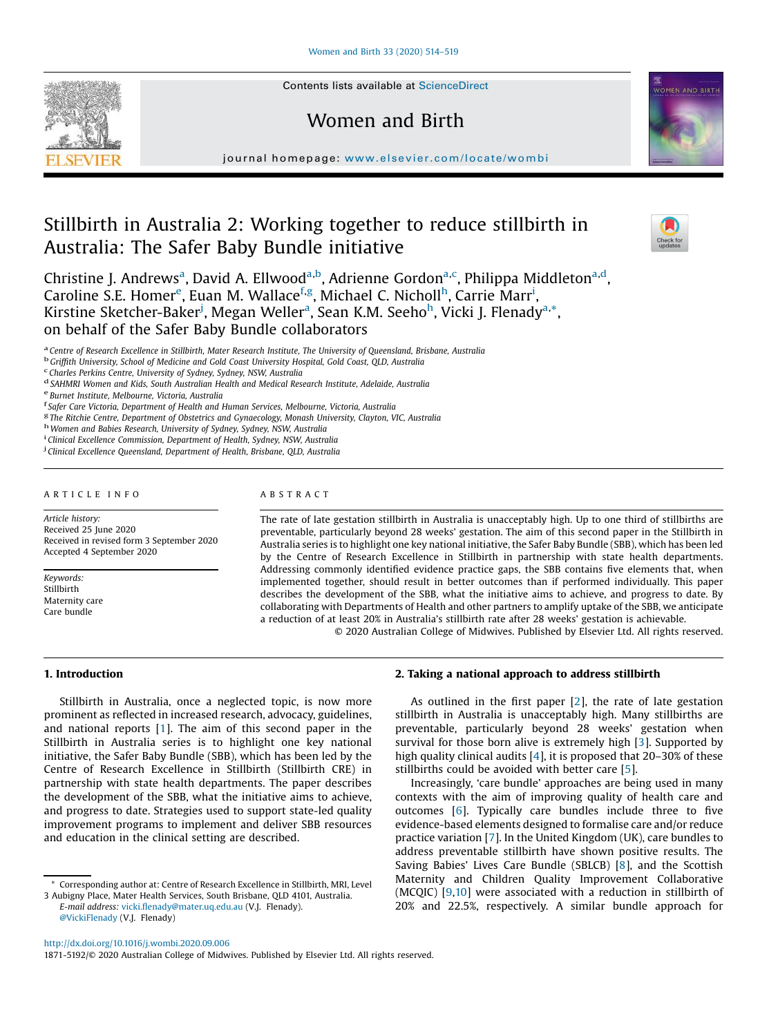Contents lists available at [ScienceDirect](http://www.sciencedirect.com/science/journal/18715192)

# Women and Birth

journal homepage: <www.elsevier.com/locate/wombi>

# Stillbirth in Australia 2: Working together to reduce stillbirth in Australia: The Safer Baby Bundle initiative

Christine J. Andrews<sup>a</sup>, David A. Ellwood<sup>a,b</sup>, Adrienne Gordon<sup>a,c</sup>, Philippa Middleton<sup>a,d</sup>, Caroline S.E. Homer<sup>e</sup>, Euan M. Wallace<sup>f,g</sup>, Michael C. Nicholl<sup>h</sup>, Carrie Marr<sup>i</sup>, Kirstine Sketcher-Baker<sup>j</sup>, Megan Weller<sup>a</sup>, Sean K.M. Seeho<sup>h</sup>, Vicki J. Flenady<sup>a,\*</sup>, on behalf of the Safer Baby Bundle collaborators

a Centre of Research Excellence in Stillbirth, Mater Research Institute, The University of Queensland, Brisbane, Australia

b *Grif*fi*th University, School of Medicine and Gold Coast University Hospital, Gold Coast, QLD, Australia*

c *Charles Perkins Centre, University of Sydney, Sydney, NSW, Australia*

e *Burnet Institute, Melbourne, Victoria, Australia*

f *Safer Care Victoria, Department of Health and Human Services, Melbourne, Victoria, Australia*

g *The Ritchie Centre, Department of Obstetrics and Gynaecology, Monash University, Clayton, VIC, Australia*

<sup>h</sup>*Women and Babies Research, University of Sydney, Sydney, NSW, Australia*

i *Clinical Excellence Commission, Department of Health, Sydney, NSW, Australia*

j *Clinical Excellence Queensland, Department of Health, Brisbane, QLD, Australia*

#### A R T I C L E I N F O

*Article history:* Received 25 June 2020 Received in revised form 3 September 2020 Accepted 4 September 2020

*Keywords:* Stillbirth Maternity care Care bundle

# A B S T R A C T

The rate of late gestation stillbirth in Australia is unacceptably high. Up to one third of stillbirths are preventable, particularly beyond 28 weeks' gestation. The aim of this second paper in the Stillbirth in Australia series is to highlight one key national initiative, the Safer Baby Bundle (SBB), which has been led by the Centre of Research Excellence in Stillbirth in partnership with state health departments. Addressing commonly identified evidence practice gaps, the SBB contains five elements that, when implemented together, should result in better outcomes than if performed individually. This paper describes the development of the SBB, what the initiative aims to achieve, and progress to date. By collaborating with Departments of Health and other partners to amplify uptake of the SBB, we anticipate a reduction of at least 20% in Australia's stillbirth rate after 28 weeks' gestation is achievable.

© 2020 Australian College of Midwives. Published by Elsevier Ltd. All rights reserved.

# 1. Introduction

Stillbirth in Australia, once a neglected topic, is now more prominent as reflected in increased research, advocacy, guidelines, and national reports [\[1](#page-4-0)]. The aim of this second paper in the Stillbirth in Australia series is to highlight one key national initiative, the Safer Baby Bundle (SBB), which has been led by the Centre of Research Excellence in Stillbirth (Stillbirth CRE) in partnership with state health departments. The paper describes the development of the SBB, what the initiative aims to achieve, and progress to date. Strategies used to support state-led quality improvement programs to implement and deliver SBB resources and education in the clinical setting are described.

*E-mail address:* vicki.fl[enady@mater.uq.edu.au](mailto:vicki.flenady@mater.uq.edu.au) (V.J. Flenady). [@VickiFlenady](https://www.twitter.com/VickiFlenady) (V.J. Flenady)

2. Taking a national approach to address stillbirth

As outlined in the first paper  $[2]$  $[2]$ , the rate of late gestation stillbirth in Australia is unacceptably high. Many stillbirths are preventable, particularly beyond 28 weeks' gestation when survival for those born alive is extremely high [[3\]](#page-5-0). Supported by high quality clinical audits [\[4](#page-5-0)], it is proposed that 20–30% of these stillbirths could be avoided with better care [\[5](#page-5-0)].

Increasingly, 'care bundle' approaches are being used in many contexts with the aim of improving quality of health care and outcomes [\[6](#page-5-0)]. Typically care bundles include three to five evidence-based elements designed to formalise care and/or reduce practice variation [\[7](#page-5-0)]. In the United Kingdom (UK), care bundles to address preventable stillbirth have shown positive results. The Saving Babies' Lives Care Bundle (SBLCB) [\[8](#page-5-0)], and the Scottish Maternity and Children Quality Improvement Collaborative (MCQIC) [\[9,10\]](#page-5-0) were associated with a reduction in stillbirth of 20% and 22.5%, respectively. A similar bundle approach for

<http://dx.doi.org/10.1016/j.wombi.2020.09.006>

1871-5192/© 2020 Australian College of Midwives. Published by Elsevier Ltd. All rights reserved.





d *SAHMRI Women and Kids, South Australian Health and Medical Research Institute, Adelaide, Australia*

<sup>\*</sup> Corresponding author at: Centre of Research Excellence in Stillbirth, MRI, Level 3 Aubigny Place, Mater Health Services, South Brisbane, QLD 4101, Australia.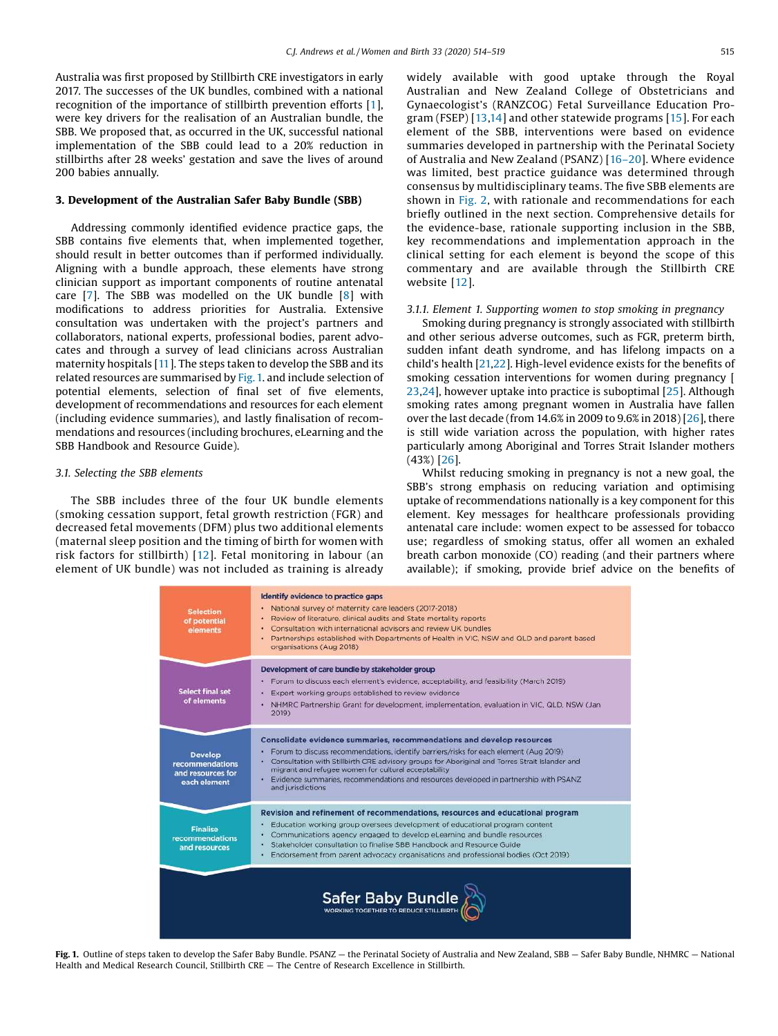Australia was first proposed by Stillbirth CRE investigators in early 2017. The successes of the UK bundles, combined with a national recognition of the importance of stillbirth prevention efforts [[1](#page-4-0)], were key drivers for the realisation of an Australian bundle, the SBB. We proposed that, as occurred in the UK, successful national implementation of the SBB could lead to a 20% reduction in stillbirths after 28 weeks' gestation and save the lives of around 200 babies annually.

#### 3. Development of the Australian Safer Baby Bundle (SBB)

Addressing commonly identified evidence practice gaps, the SBB contains five elements that, when implemented together, should result in better outcomes than if performed individually. Aligning with a bundle approach, these elements have strong clinician support as important components of routine antenatal care [\[7](#page-5-0)]. The SBB was modelled on the UK bundle [[8\]](#page-5-0) with modifications to address priorities for Australia. Extensive consultation was undertaken with the project's partners and collaborators, national experts, professional bodies, parent advocates and through a survey of lead clinicians across Australian maternity hospitals [\[11](#page-5-0)]. The steps taken to develop the SBB and its related resources are summarised by Fig.1. and include selection of potential elements, selection of final set of five elements, development of recommendations and resources for each element (including evidence summaries), and lastly finalisation of recommendations and resources (including brochures, eLearning and the SBB Handbook and Resource Guide).

#### *3.1. Selecting the SBB elements*

The SBB includes three of the four UK bundle elements (smoking cessation support, fetal growth restriction (FGR) and decreased fetal movements (DFM) plus two additional elements (maternal sleep position and the timing of birth for women with risk factors for stillbirth) [[12](#page-5-0)]. Fetal monitoring in labour (an element of UK bundle) was not included as training is already widely available with good uptake through the Royal Australian and New Zealand College of Obstetricians and Gynaecologist's (RANZCOG) Fetal Surveillance Education Program (FSEP) [[13](#page-5-0),[14\]](#page-5-0) and other statewide programs [[15\]](#page-5-0). For each element of the SBB, interventions were based on evidence summaries developed in partnership with the Perinatal Society of Australia and New Zealand (PSANZ) [16–[20](#page-5-0)]. Where evidence was limited, best practice guidance was determined through consensus by multidisciplinary teams. The five SBB elements are shown in [Fig.](#page-2-0) 2, with rationale and recommendations for each briefly outlined in the next section. Comprehensive details for the evidence-base, rationale supporting inclusion in the SBB, key recommendations and implementation approach in the clinical setting for each element is beyond the scope of this commentary and are available through the Stillbirth CRE website [[12](#page-5-0)].

#### *3.1.1. Element 1. Supporting women to stop smoking in pregnancy*

Smoking during pregnancy is strongly associated with stillbirth and other serious adverse outcomes, such as FGR, preterm birth, sudden infant death syndrome, and has lifelong impacts on a child's health [\[21,22](#page-5-0)]. High-level evidence exists for the benefits of smoking cessation interventions for women during pregnancy [ [23,24](#page-5-0)], however uptake into practice is suboptimal [\[25](#page-5-0)]. Although smoking rates among pregnant women in Australia have fallen over the last decade (from 14.6% in 2009 to 9.6% in 2018) [\[26\]](#page-5-0), there is still wide variation across the population, with higher rates particularly among Aboriginal and Torres Strait Islander mothers (43%) [\[26](#page-5-0)].

Whilst reducing smoking in pregnancy is not a new goal, the SBB's strong emphasis on reducing variation and optimising uptake of recommendations nationally is a key component for this element. Key messages for healthcare professionals providing antenatal care include: women expect to be assessed for tobacco use; regardless of smoking status, offer all women an exhaled breath carbon monoxide (CO) reading (and their partners where available); if smoking, provide brief advice on the benefits of

| <b>Selection</b><br>of potential<br>elements                           | Identify evidence to practice gaps<br>National survey of maternity care leaders (2017-2018).<br>Review of literature, clinical audits and State mortality reports<br>Consultation with international advisors and review UK bundles.<br>Partnerships established with Departments of Health in VIC, NSW and QLD and parent based<br>organisations (Aug 2018)                                                                                  |
|------------------------------------------------------------------------|-----------------------------------------------------------------------------------------------------------------------------------------------------------------------------------------------------------------------------------------------------------------------------------------------------------------------------------------------------------------------------------------------------------------------------------------------|
| <b>Select final set</b><br>of elements                                 | Development of care bundle by stakeholder group<br>Forum to discuss each element's evidence, acceptability, and feasibility (March 2019)<br>Expert working groups established to review evidence<br>NHMRC Partnership Grant for development, implementation, evaluation in VIC, QLD, NSW (Jan<br>2019)                                                                                                                                        |
| <b>Develop</b><br>recommendations<br>and resources for<br>each element | Consolidate evidence summaries, recommendations and develop resources<br>Forum to discuss recommendations, identify barriers/risks for each element (Aug 2019)<br>Consultation with Stillbirth CRE advisory groups for Aboriginal and Torres Strait Islander and<br>٠<br>migrant and refugee women for cultural acceptability<br>. Evidence summaries, recommendations and resources developed in partnership with PSANZ<br>and jurisdictions |
| <b>Finalise</b><br>recommendations<br>and resources                    | Revision and refinement of recommendations, resources and educational program<br>Education working group oversees development of educational program content<br>Communications agency engaged to develop eLearning and bundle resources<br>Stakeholder consultation to finalise SBB Handbook and Resource Guide<br>٠<br>Endorsement from parent advocacy organisations and professional bodies (Oct 2019)<br>٠                                |
| Safer Baby Bundle                                                      |                                                                                                                                                                                                                                                                                                                                                                                                                                               |

Fig. 1. Outline of steps taken to develop the Safer Baby Bundle. PSANZ — the Perinatal Society of Australia and New Zealand, SBB — Safer Baby Bundle, NHMRC — National Health and Medical Research Council, Stillbirth CRE — The Centre of Research Excellence in Stillbirth.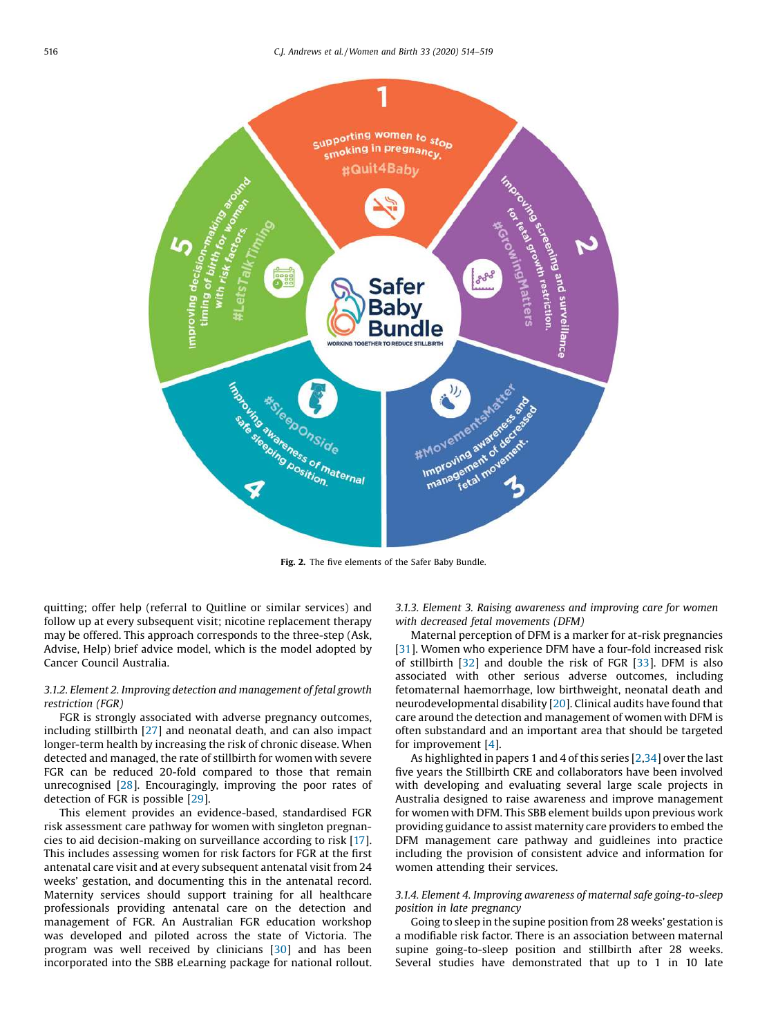<span id="page-2-0"></span>

Fig. 2. The five elements of the Safer Baby Bundle.

quitting; offer help (referral to Quitline or similar services) and follow up at every subsequent visit; nicotine replacement therapy may be offered. This approach corresponds to the three-step (Ask, Advise, Help) brief advice model, which is the model adopted by Cancer Council Australia.

# *3.1.2. Element 2. Improving detection and management of fetal growth restriction (FGR)*

FGR is strongly associated with adverse pregnancy outcomes, including stillbirth [\[27](#page-5-0)] and neonatal death, and can also impact longer-term health by increasing the risk of chronic disease. When detected and managed, the rate of stillbirth for women with severe FGR can be reduced 20-fold compared to those that remain unrecognised [\[28](#page-5-0)]. Encouragingly, improving the poor rates of detection of FGR is possible [\[29](#page-5-0)].

This element provides an evidence-based, standardised FGR risk assessment care pathway for women with singleton pregnancies to aid decision-making on surveillance according to risk [[17\]](#page-5-0). This includes assessing women for risk factors for FGR at the first antenatal care visit and at every subsequent antenatal visit from 24 weeks' gestation, and documenting this in the antenatal record. Maternity services should support training for all healthcare professionals providing antenatal care on the detection and management of FGR. An Australian FGR education workshop was developed and piloted across the state of Victoria. The program was well received by clinicians [[30\]](#page-5-0) and has been incorporated into the SBB eLearning package for national rollout.

*3.1.3. Element 3. Raising awareness and improving care for women with decreased fetal movements (DFM)*

Maternal perception of DFM is a marker for at-risk pregnancies [[31](#page-5-0)]. Women who experience DFM have a four-fold increased risk of stillbirth [\[32](#page-5-0)] and double the risk of FGR [[33](#page-5-0)]. DFM is also associated with other serious adverse outcomes, including fetomaternal haemorrhage, low birthweight, neonatal death and neurodevelopmental disability [[20](#page-5-0)]. Clinical audits have found that care around the detection and management of women with DFM is often substandard and an important area that should be targeted for improvement [\[4](#page-5-0)].

As highlighted in papers 1 and 4 of this series [[2](#page-5-0),[34](#page-5-0)] over the last five years the Stillbirth CRE and collaborators have been involved with developing and evaluating several large scale projects in Australia designed to raise awareness and improve management for women with DFM. This SBB element builds upon previous work providing guidance to assist maternity care providers to embed the DFM management care pathway and guidleines into practice including the provision of consistent advice and information for women attending their services.

# *3.1.4. Element 4. Improving awareness of maternal safe going-to-sleep position in late pregnancy*

Going to sleep in the supine position from 28 weeks' gestation is a modifiable risk factor. There is an association between maternal supine going-to-sleep position and stillbirth after 28 weeks. Several studies have demonstrated that up to 1 in 10 late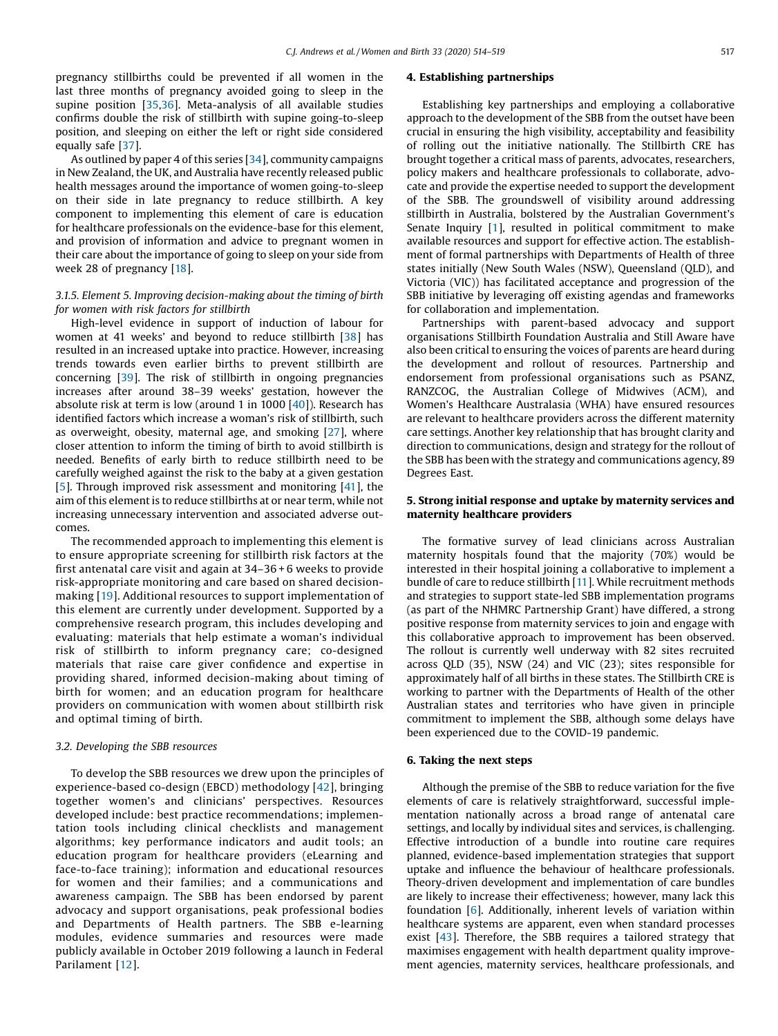pregnancy stillbirths could be prevented if all women in the last three months of pregnancy avoided going to sleep in the supine position [[35](#page-5-0),[36](#page-5-0)]. Meta-analysis of all available studies confirms double the risk of stillbirth with supine going-to-sleep position, and sleeping on either the left or right side considered equally safe [[37](#page-5-0)].

As outlined by paper 4 of this series [[34](#page-5-0)], community campaigns in New Zealand, the UK, and Australia have recently released public health messages around the importance of women going-to-sleep on their side in late pregnancy to reduce stillbirth. A key component to implementing this element of care is education for healthcare professionals on the evidence-base for this element, and provision of information and advice to pregnant women in their care about the importance of going to sleep on your side from week 28 of pregnancy [[18](#page-5-0)].

#### *3.1.5. Element 5. Improving decision-making about the timing of birth for women with risk factors for stillbirth*

High-level evidence in support of induction of labour for women at 41 weeks' and beyond to reduce stillbirth [[38](#page-5-0)] has resulted in an increased uptake into practice. However, increasing trends towards even earlier births to prevent stillbirth are concerning [[39](#page-5-0)]. The risk of stillbirth in ongoing pregnancies increases after around 38–39 weeks' gestation, however the absolute risk at term is low (around 1 in 1000 [[40\]](#page-5-0)). Research has identified factors which increase a woman's risk of stillbirth, such as overweight, obesity, maternal age, and smoking [[27](#page-5-0)], where closer attention to inform the timing of birth to avoid stillbirth is needed. Benefits of early birth to reduce stillbirth need to be carefully weighed against the risk to the baby at a given gestation [[5](#page-5-0)]. Through improved risk assessment and monitoring [[41](#page-5-0)], the aim of this element is to reduce stillbirths at or near term, while not increasing unnecessary intervention and associated adverse outcomes.

The recommended approach to implementing this element is to ensure appropriate screening for stillbirth risk factors at the first antenatal care visit and again at 34–36 + 6 weeks to provide risk-appropriate monitoring and care based on shared decisionmaking [\[19\]](#page-5-0). Additional resources to support implementation of this element are currently under development. Supported by a comprehensive research program, this includes developing and evaluating: materials that help estimate a woman's individual risk of stillbirth to inform pregnancy care; co-designed materials that raise care giver confidence and expertise in providing shared, informed decision-making about timing of birth for women; and an education program for healthcare providers on communication with women about stillbirth risk and optimal timing of birth.

#### *3.2. Developing the SBB resources*

To develop the SBB resources we drew upon the principles of experience-based co-design (EBCD) methodology [[42\]](#page-5-0), bringing together women's and clinicians' perspectives. Resources developed include: best practice recommendations; implementation tools including clinical checklists and management algorithms; key performance indicators and audit tools; an education program for healthcare providers (eLearning and face-to-face training); information and educational resources for women and their families; and a communications and awareness campaign. The SBB has been endorsed by parent advocacy and support organisations, peak professional bodies and Departments of Health partners. The SBB e-learning modules, evidence summaries and resources were made publicly available in October 2019 following a launch in Federal Parilament [[12](#page-5-0)].

#### 4. Establishing partnerships

Establishing key partnerships and employing a collaborative approach to the development of the SBB from the outset have been crucial in ensuring the high visibility, acceptability and feasibility of rolling out the initiative nationally. The Stillbirth CRE has brought together a critical mass of parents, advocates, researchers, policy makers and healthcare professionals to collaborate, advocate and provide the expertise needed to support the development of the SBB. The groundswell of visibility around addressing stillbirth in Australia, bolstered by the Australian Government's Senate Inquiry [[1\]](#page-4-0), resulted in political commitment to make available resources and support for effective action. The establishment of formal partnerships with Departments of Health of three states initially (New South Wales (NSW), Queensland (QLD), and Victoria (VIC)) has facilitated acceptance and progression of the SBB initiative by leveraging off existing agendas and frameworks for collaboration and implementation.

Partnerships with parent-based advocacy and support organisations Stillbirth Foundation Australia and Still Aware have also been critical to ensuring the voices of parents are heard during the development and rollout of resources. Partnership and endorsement from professional organisations such as PSANZ, RANZCOG, the Australian College of Midwives (ACM), and Women's Healthcare Australasia (WHA) have ensured resources are relevant to healthcare providers across the different maternity care settings. Another key relationship that has brought clarity and direction to communications, design and strategy for the rollout of the SBB has been with the strategy and communications agency, 89 Degrees East.

# 5. Strong initial response and uptake by maternity services and maternity healthcare providers

The formative survey of lead clinicians across Australian maternity hospitals found that the majority (70%) would be interested in their hospital joining a collaborative to implement a bundle of care to reduce stillbirth [\[11](#page-5-0)]. While recruitment methods and strategies to support state-led SBB implementation programs (as part of the NHMRC Partnership Grant) have differed, a strong positive response from maternity services to join and engage with this collaborative approach to improvement has been observed. The rollout is currently well underway with 82 sites recruited across QLD (35), NSW (24) and VIC (23); sites responsible for approximately half of all births in these states. The Stillbirth CRE is working to partner with the Departments of Health of the other Australian states and territories who have given in principle commitment to implement the SBB, although some delays have been experienced due to the COVID-19 pandemic.

# 6. Taking the next steps

Although the premise of the SBB to reduce variation for the five elements of care is relatively straightforward, successful implementation nationally across a broad range of antenatal care settings, and locally by individual sites and services, is challenging. Effective introduction of a bundle into routine care requires planned, evidence-based implementation strategies that support uptake and influence the behaviour of healthcare professionals. Theory-driven development and implementation of care bundles are likely to increase their effectiveness; however, many lack this foundation [\[6](#page-5-0)]. Additionally, inherent levels of variation within healthcare systems are apparent, even when standard processes exist [[43](#page-5-0)]. Therefore, the SBB requires a tailored strategy that maximises engagement with health department quality improvement agencies, maternity services, healthcare professionals, and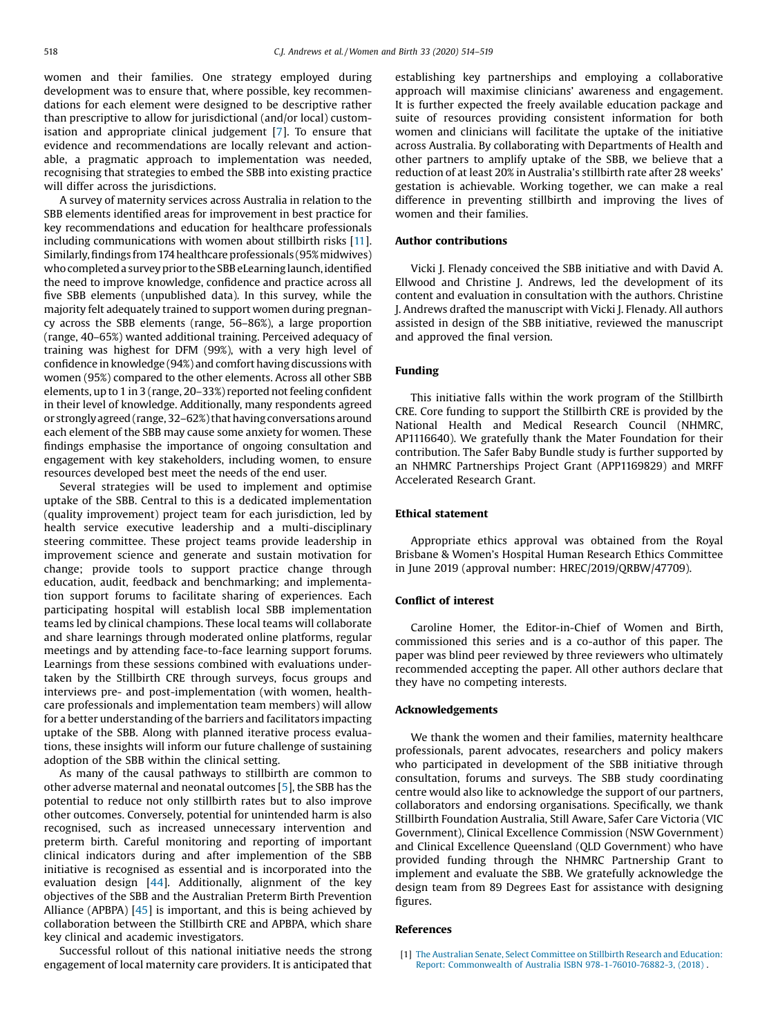<span id="page-4-0"></span>women and their families. One strategy employed during development was to ensure that, where possible, key recommendations for each element were designed to be descriptive rather than prescriptive to allow for jurisdictional (and/or local) customisation and appropriate clinical judgement [[7](#page-5-0)]. To ensure that evidence and recommendations are locally relevant and actionable, a pragmatic approach to implementation was needed, recognising that strategies to embed the SBB into existing practice will differ across the jurisdictions.

A survey of maternity services across Australia in relation to the SBB elements identified areas for improvement in best practice for key recommendations and education for healthcare professionals including communications with women about stillbirth risks [\[11\]](#page-5-0). Similarly, findings from 174 healthcare professionals (95% midwives) whocompleteda surveyprior tothe SBBeLearninglaunch, identified the need to improve knowledge, confidence and practice across all five SBB elements (unpublished data). In this survey, while the majority felt adequately trained to support women during pregnancy across the SBB elements (range, 56–86%), a large proportion (range, 40–65%) wanted additional training. Perceived adequacy of training was highest for DFM (99%), with a very high level of confidence in knowledge (94%) and comfort having discussions with women (95%) compared to the other elements. Across all other SBB elements, up to 1 in 3 (range, 20-33%) reported not feeling confident in their level of knowledge. Additionally, many respondents agreed or strongly agreed (range, 32-62%) that having conversations around each element of the SBB may cause some anxiety for women. These findings emphasise the importance of ongoing consultation and engagement with key stakeholders, including women, to ensure resources developed best meet the needs of the end user.

Several strategies will be used to implement and optimise uptake of the SBB. Central to this is a dedicated implementation (quality improvement) project team for each jurisdiction, led by health service executive leadership and a multi-disciplinary steering committee. These project teams provide leadership in improvement science and generate and sustain motivation for change; provide tools to support practice change through education, audit, feedback and benchmarking; and implementation support forums to facilitate sharing of experiences. Each participating hospital will establish local SBB implementation teams led by clinical champions. These local teams will collaborate and share learnings through moderated online platforms, regular meetings and by attending face-to-face learning support forums. Learnings from these sessions combined with evaluations undertaken by the Stillbirth CRE through surveys, focus groups and interviews pre- and post-implementation (with women, healthcare professionals and implementation team members) will allow for a better understanding of the barriers and facilitators impacting uptake of the SBB. Along with planned iterative process evaluations, these insights will inform our future challenge of sustaining adoption of the SBB within the clinical setting.

As many of the causal pathways to stillbirth are common to other adverse maternal and neonatal outcomes [[5\]](#page-5-0), the SBB has the potential to reduce not only stillbirth rates but to also improve other outcomes. Conversely, potential for unintended harm is also recognised, such as increased unnecessary intervention and preterm birth. Careful monitoring and reporting of important clinical indicators during and after implemention of the SBB initiative is recognised as essential and is incorporated into the evaluation design  $[44]$  $[44]$ . Additionally, alignment of the key objectives of the SBB and the Australian Preterm Birth Prevention Alliance (APBPA) [[45](#page-5-0)] is important, and this is being achieved by collaboration between the Stillbirth CRE and APBPA, which share key clinical and academic investigators.

Successful rollout of this national initiative needs the strong engagement of local maternity care providers. It is anticipated that establishing key partnerships and employing a collaborative approach will maximise clinicians' awareness and engagement. It is further expected the freely available education package and suite of resources providing consistent information for both women and clinicians will facilitate the uptake of the initiative across Australia. By collaborating with Departments of Health and other partners to amplify uptake of the SBB, we believe that a reduction of at least 20% in Australia's stillbirth rate after 28 weeks' gestation is achievable. Working together, we can make a real difference in preventing stillbirth and improving the lives of women and their families.

#### Author contributions

Vicki J. Flenady conceived the SBB initiative and with David A. Ellwood and Christine J. Andrews, led the development of its content and evaluation in consultation with the authors. Christine J. Andrews drafted the manuscript with Vicki J. Flenady. All authors assisted in design of the SBB initiative, reviewed the manuscript and approved the final version.

# Funding

This initiative falls within the work program of the Stillbirth CRE. Core funding to support the Stillbirth CRE is provided by the National Health and Medical Research Council (NHMRC, AP1116640). We gratefully thank the Mater Foundation for their contribution. The Safer Baby Bundle study is further supported by an NHMRC Partnerships Project Grant (APP1169829) and MRFF Accelerated Research Grant.

#### Ethical statement

Appropriate ethics approval was obtained from the Royal Brisbane & Women's Hospital Human Research Ethics Committee in June 2019 (approval number: HREC/2019/QRBW/47709).

# Conflict of interest

Caroline Homer, the Editor-in-Chief of Women and Birth, commissioned this series and is a co-author of this paper. The paper was blind peer reviewed by three reviewers who ultimately recommended accepting the paper. All other authors declare that they have no competing interests.

#### Acknowledgements

We thank the women and their families, maternity healthcare professionals, parent advocates, researchers and policy makers who participated in development of the SBB initiative through consultation, forums and surveys. The SBB study coordinating centre would also like to acknowledge the support of our partners, collaborators and endorsing organisations. Specifically, we thank Stillbirth Foundation Australia, Still Aware, Safer Care Victoria (VIC Government), Clinical Excellence Commission (NSW Government) and Clinical Excellence Queensland (QLD Government) who have provided funding through the NHMRC Partnership Grant to implement and evaluate the SBB. We gratefully acknowledge the design team from 89 Degrees East for assistance with designing figures.

#### References

[1] The Australian Senate, Select [Committee](http://refhub.elsevier.com/S1871-5192(20)30323-1/sbref0005) on Stillbirth Research and Education: Report: Commonwealth of Australia ISBN [978-1-76010-76882-3,](http://refhub.elsevier.com/S1871-5192(20)30323-1/sbref0005) (2018) .